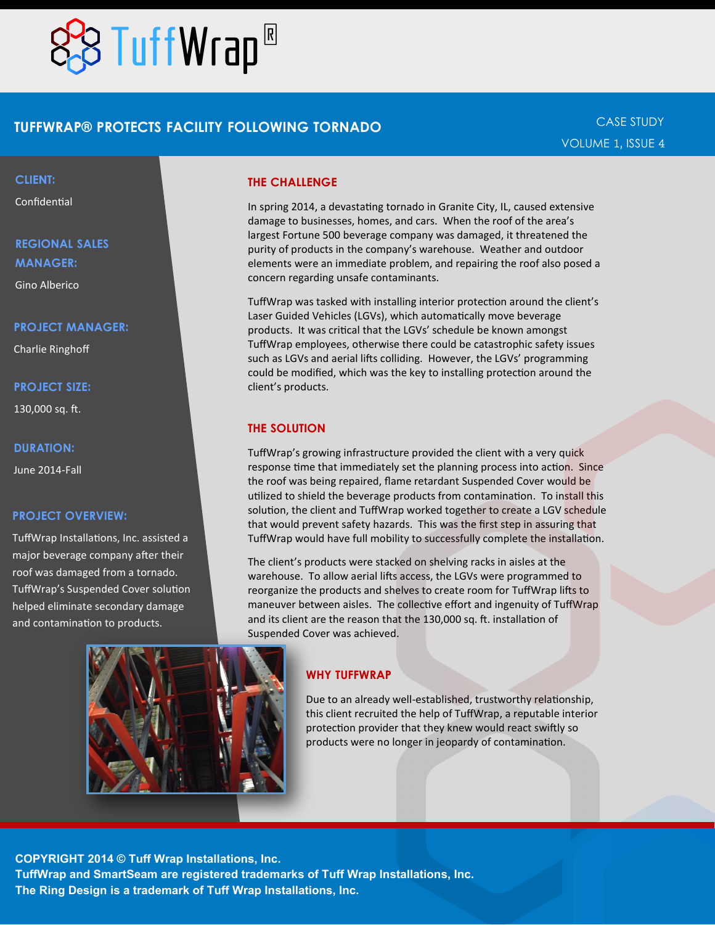

## **TUFFWRAP® PROTECTS FACILITY FOLLOWING TORNADO**

#### **CLIENT:**

Confidential

# **REGIONAL SALES MANAGER:**

Gino Alberico

#### **PROJECT MANAGER:**

Charlie Ringhoff

#### **PROJECT SIZE:**

130,000 sq. ft.

#### **DURATION:**

June 2014-Fall

#### **PROJECT OVERVIEW:**

TuffWrap Installations, Inc. assisted a major beverage company after their roof was damaged from a tornado. TuffWrap's Suspended Cover solution helped eliminate secondary damage and contamination to products.

#### **THE CHALLENGE**

In spring 2014, a devastating tornado in Granite City, IL, caused extensive damage to businesses, homes, and cars. When the roof of the area's largest Fortune 500 beverage company was damaged, it threatened the purity of products in the company's warehouse. Weather and outdoor elements were an immediate problem, and repairing the roof also posed a concern regarding unsafe contaminants.

TuffWrap was tasked with installing interior protection around the client's Laser Guided Vehicles (LGVs), which automatically move beverage products. It was critical that the LGVs' schedule be known amongst TuffWrap employees, otherwise there could be catastrophic safety issues such as LGVs and aerial lifts colliding. However, the LGVs' programming could be modified, which was the key to installing protection around the client's products.

#### **THE SOLUTION**

TuffWrap's growing infrastructure provided the client with a very quick response time that immediately set the planning process into action. Since the roof was being repaired, flame retardant Suspended Cover would be utilized to shield the beverage products from contamination. To install this solution, the client and TuffWrap worked together to create a LGV schedule that would prevent safety hazards. This was the first step in assuring that TuffWrap would have full mobility to successfully complete the installation.

The client's products were stacked on shelving racks in aisles at the warehouse. To allow aerial lifts access, the LGVs were programmed to reorganize the products and shelves to create room for TuffWrap lifts to maneuver between aisles. The collective effort and ingenuity of TuffWrap and its client are the reason that the 130,000 sq. ft. installation of Suspended Cover was achieved.

#### **WHY TUFFWRAP**

Due to an already well-established, trustworthy relationship, this client recruited the help of TuffWrap, a reputable interior protection provider that they knew would react swiftly so products were no longer in jeopardy of contamination.

**COPYRIGHT 2014 © Tuff Wrap Installations, Inc. TuffWrap and SmartSeam are registered trademarks of Tuff Wrap Installations, Inc. The Ring Design is a trademark of Tuff Wrap Installations, Inc.**